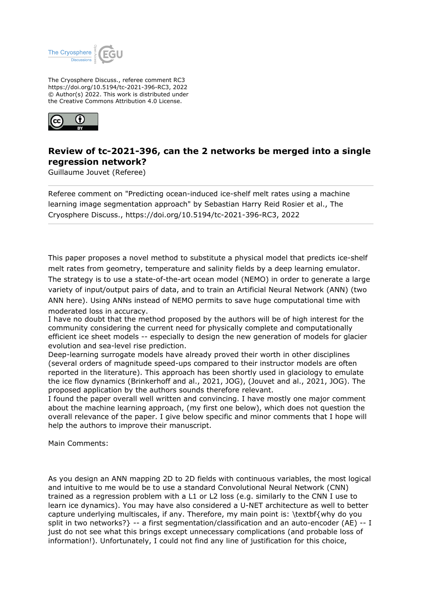

The Cryosphere Discuss., referee comment RC3 https://doi.org/10.5194/tc-2021-396-RC3, 2022 © Author(s) 2022. This work is distributed under the Creative Commons Attribution 4.0 License.



## **Review of tc-2021-396, can the 2 networks be merged into a single regression network?**

Guillaume Jouvet (Referee)

Referee comment on "Predicting ocean-induced ice-shelf melt rates using a machine learning image segmentation approach" by Sebastian Harry Reid Rosier et al., The Cryosphere Discuss., https://doi.org/10.5194/tc-2021-396-RC3, 2022

This paper proposes a novel method to substitute a physical model that predicts ice-shelf melt rates from geometry, temperature and salinity fields by a deep learning emulator. The strategy is to use a state-of-the-art ocean model (NEMO) in order to generate a large variety of input/output pairs of data, and to train an Artificial Neural Network (ANN) (two ANN here). Using ANNs instead of NEMO permits to save huge computational time with moderated loss in accuracy.

I have no doubt that the method proposed by the authors will be of high interest for the community considering the current need for physically complete and computationally efficient ice sheet models -- especially to design the new generation of models for glacier evolution and sea-level rise prediction.

Deep-learning surrogate models have already proved their worth in other disciplines (several orders of magnitude speed-ups compared to their instructor models are often reported in the literature). This approach has been shortly used in glaciology to emulate the ice flow dynamics (Brinkerhoff and al., 2021, JOG), (Jouvet and al., 2021, JOG). The proposed application by the authors sounds therefore relevant.

I found the paper overall well written and convincing. I have mostly one major comment about the machine learning approach, (my first one below), which does not question the overall relevance of the paper. I give below specific and minor comments that I hope will help the authors to improve their manuscript.

Main Comments:

As you design an ANN mapping 2D to 2D fields with continuous variables, the most logical and intuitive to me would be to use a standard Convolutional Neural Network (CNN) trained as a regression problem with a L1 or L2 loss (e.g. similarly to the CNN I use to learn ice dynamics). You may have also considered a U-NET architecture as well to better capture underlying multiscales, if any. Therefore, my main point is: \textbf{why do you split in two networks?} -- a first segmentation/classification and an auto-encoder (AE) -- I just do not see what this brings except unnecessary complications (and probable loss of information!). Unfortunately, I could not find any line of justification for this choice,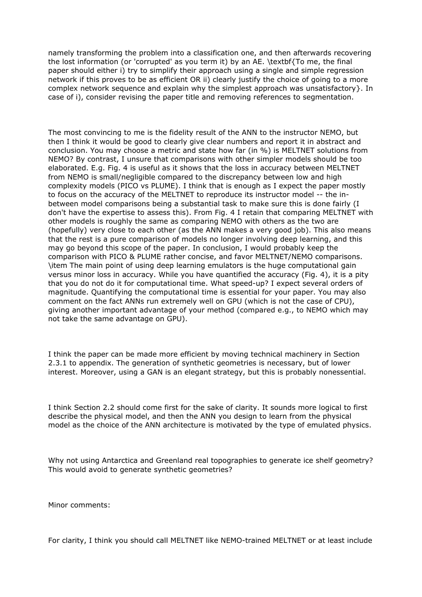namely transforming the problem into a classification one, and then afterwards recovering the lost information (or 'corrupted' as you term it) by an AE. \textbf{To me, the final paper should either i) try to simplify their approach using a single and simple regression network if this proves to be as efficient OR ii) clearly justify the choice of going to a more complex network sequence and explain why the simplest approach was unsatisfactory}. In case of i), consider revising the paper title and removing references to segmentation.

The most convincing to me is the fidelity result of the ANN to the instructor NEMO, but then I think it would be good to clearly give clear numbers and report it in abstract and conclusion. You may choose a metric and state how far (in %) is MELTNET solutions from NEMO? By contrast, I unsure that comparisons with other simpler models should be too elaborated. E.g. Fig. 4 is useful as it shows that the loss in accuracy between MELTNET from NEMO is small/negligible compared to the discrepancy between low and high complexity models (PICO vs PLUME). I think that is enough as I expect the paper mostly to focus on the accuracy of the MELTNET to reproduce its instructor model -- the inbetween model comparisons being a substantial task to make sure this is done fairly (I don't have the expertise to assess this). From Fig. 4 I retain that comparing MELTNET with other models is roughly the same as comparing NEMO with others as the two are (hopefully) very close to each other (as the ANN makes a very good job). This also means that the rest is a pure comparison of models no longer involving deep learning, and this may go beyond this scope of the paper. In conclusion, I would probably keep the comparison with PICO & PLUME rather concise, and favor MELTNET/NEMO comparisons. \item The main point of using deep learning emulators is the huge computational gain versus minor loss in accuracy. While you have quantified the accuracy (Fig. 4), it is a pity that you do not do it for computational time. What speed-up? I expect several orders of magnitude. Quantifying the computational time is essential for your paper. You may also comment on the fact ANNs run extremely well on GPU (which is not the case of CPU), giving another important advantage of your method (compared e.g., to NEMO which may not take the same advantage on GPU).

I think the paper can be made more efficient by moving technical machinery in Section 2.3.1 to appendix. The generation of synthetic geometries is necessary, but of lower interest. Moreover, using a GAN is an elegant strategy, but this is probably nonessential.

I think Section 2.2 should come first for the sake of clarity. It sounds more logical to first describe the physical model, and then the ANN you design to learn from the physical model as the choice of the ANN architecture is motivated by the type of emulated physics.

Why not using Antarctica and Greenland real topographies to generate ice shelf geometry? This would avoid to generate synthetic geometries?

Minor comments:

For clarity, I think you should call MELTNET like NEMO-trained MELTNET or at least include